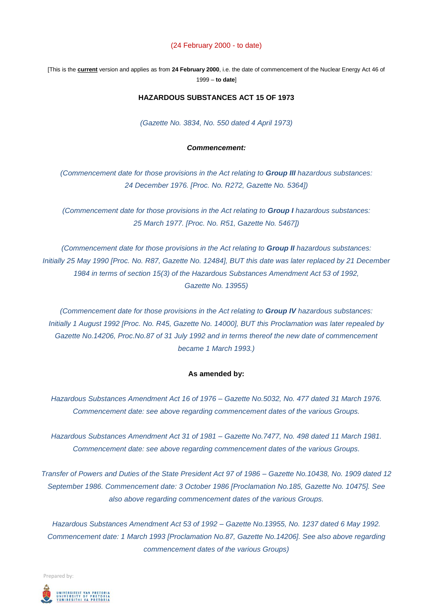#### (24 February 2000 - to date)

[This is the **current** version and applies as from **24 February 2000**, i.e. the date of commencement of the Nuclear Energy Act 46 of 1999 – **to date**]

## **HAZARDOUS SUBSTANCES ACT 15 OF 1973**

*(Gazette No. 3834, No. 550 dated 4 April 1973)*

# *Commencement:*

*(Commencement date for those provisions in the Act relating to Group III hazardous substances: 24 December 1976. [Proc. No. R272, Gazette No. 5364])*

*(Commencement date for those provisions in the Act relating to Group I hazardous substances: 25 March 1977. [Proc. No. R51, Gazette No. 5467])*

*(Commencement date for those provisions in the Act relating to Group II hazardous substances: Initially 25 May 1990 [Proc. No. R87, Gazette No. 12484], BUT this date was later replaced by 21 December 1984 in terms of section 15(3) of the Hazardous Substances Amendment Act 53 of 1992, Gazette No. 13955)*

*(Commencement date for those provisions in the Act relating to Group IV hazardous substances: Initially 1 August 1992 [Proc. No. R45, Gazette No. 14000], BUT this Proclamation was later repealed by Gazette No.14206, Proc.No.87 of 31 July 1992 and in terms thereof the new date of commencement became 1 March 1993.)*

#### **As amended by:**

*Hazardous Substances Amendment Act 16 of 1976 – Gazette No.5032, No. 477 dated 31 March 1976. Commencement date: see above regarding commencement dates of the various Groups.*

*Hazardous Substances Amendment Act 31 of 1981 – Gazette No.7477, No. 498 dated 11 March 1981. Commencement date: see above regarding commencement dates of the various Groups.*

*Transfer of Powers and Duties of the State President Act 97 of 1986 – Gazette No.10438, No. 1909 dated 12 September 1986. Commencement date: 3 October 1986 [Proclamation No.185, Gazette No. 10475]. See also above regarding commencement dates of the various Groups.*

*Hazardous Substances Amendment Act 53 of 1992 – Gazette No.13955, No. 1237 dated 6 May 1992. Commencement date: 1 March 1993 [Proclamation No.87, Gazette No.14206]. See also above regarding commencement dates of the various Groups)*

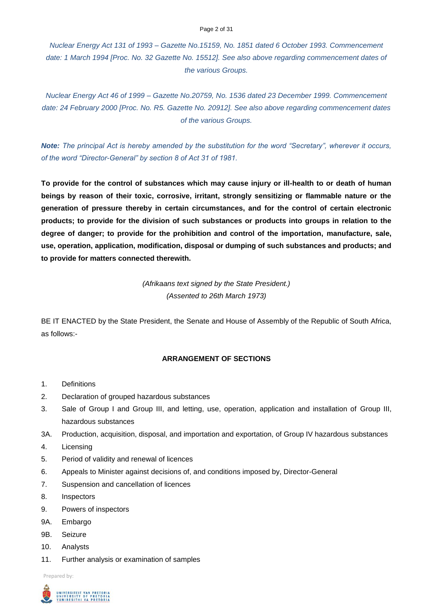#### Page 2 of 31

*Nuclear Energy Act 131 of 1993 – Gazette No.15159, No. 1851 dated 6 October 1993. Commencement date: 1 March 1994 [Proc. No. 32 Gazette No. 15512]. See also above regarding commencement dates of the various Groups.*

*Nuclear Energy Act 46 of 1999 – Gazette No.20759, No. 1536 dated 23 December 1999. Commencement date: 24 February 2000 [Proc. No. R5. Gazette No. 20912]. See also above regarding commencement dates of the various Groups.* 

*Note: The principal Act is hereby amended by the substitution for the word "Secretary", wherever it occurs, of the word "Director-General" by section 8 of Act 31 of 1981.*

**To provide for the control of substances which may cause injury or ill-health to or death of human beings by reason of their toxic, corrosive, irritant, strongly sensitizing or flammable nature or the generation of pressure thereby in certain circumstances, and for the control of certain electronic products; to provide for the division of such substances or products into groups in relation to the degree of danger; to provide for the prohibition and control of the importation, manufacture, sale, use, operation, application, modification, disposal or dumping of such substances and products; and to provide for matters connected therewith.**

> *(Afrikaans text signed by the State President.) (Assented to 26th March 1973)*

BE IT ENACTED by the State President, the Senate and House of Assembly of the Republic of South Africa, as follows:-

# **ARRANGEMENT OF SECTIONS**

- 1. Definitions
- 2. Declaration of grouped hazardous substances
- 3. Sale of Group I and Group III, and letting, use, operation, application and installation of Group III, hazardous substances
- 3A. Production, acquisition, disposal, and importation and exportation, of Group IV hazardous substances
- 4. Licensing
- 5. Period of validity and renewal of licences
- 6. Appeals to Minister against decisions of, and conditions imposed by, Director-General
- 7. Suspension and cancellation of licences
- 8. Inspectors
- 9. Powers of inspectors
- 9A. Embargo
- 9B. Seizure
- 10. Analysts
- 11. Further analysis or examination of samples

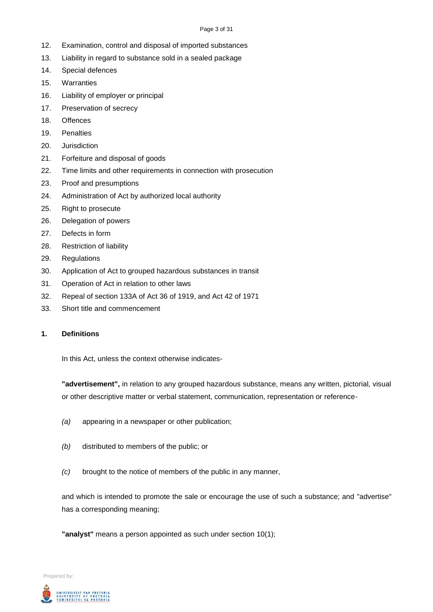#### Page 3 of 31

- 12. Examination, control and disposal of imported substances
- 13. Liability in regard to substance sold in a sealed package
- 14. Special defences
- 15. Warranties
- 16. Liability of employer or principal
- 17. Preservation of secrecy
- 18. Offences
- 19. Penalties
- 20. Jurisdiction
- 21. Forfeiture and disposal of goods
- 22. Time limits and other requirements in connection with prosecution
- 23. Proof and presumptions
- 24. Administration of Act by authorized local authority
- 25. Right to prosecute
- 26. Delegation of powers
- 27. Defects in form
- 28. Restriction of liability
- 29. Regulations
- 30. Application of Act to grouped hazardous substances in transit
- 31. Operation of Act in relation to other laws
- 32. Repeal of section 133A of Act 36 of 1919, and Act 42 of 1971
- 33. Short title and commencement

# **1. Definitions**

In this Act, unless the context otherwise indicates-

**"advertisement",** in relation to any grouped hazardous substance, means any written, pictorial, visual or other descriptive matter or verbal statement, communication, representation or reference-

- *(a)* appearing in a newspaper or other publication;
- *(b)* distributed to members of the public; or
- *(c)* brought to the notice of members of the public in any manner,

and which is intended to promote the sale or encourage the use of such a substance; and "advertise" has a corresponding meaning;

**"analyst"** means a person appointed as such under section 10(1);

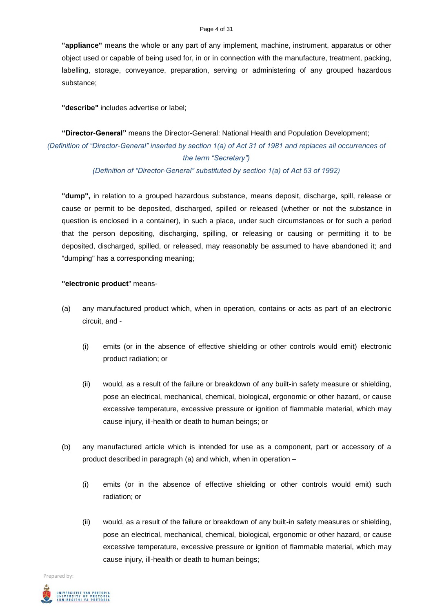#### Page 4 of 31

**"appliance"** means the whole or any part of any implement, machine, instrument, apparatus or other object used or capable of being used for, in or in connection with the manufacture, treatment, packing, labelling, storage, conveyance, preparation, serving or administering of any grouped hazardous substance;

**"describe"** includes advertise or label;

# **"Director-General"** means the Director-General: National Health and Population Development; *(Definition of "Director-General" inserted by section 1(a) of Act 31 of 1981 and replaces all occurrences of the term "Secretary")*

*(Definition of "Director-General" substituted by section 1(a) of Act 53 of 1992)*

**"dump",** in relation to a grouped hazardous substance, means deposit, discharge, spill, release or cause or permit to be deposited, discharged, spilled or released (whether or not the substance in question is enclosed in a container), in such a place, under such circumstances or for such a period that the person depositing, discharging, spilling, or releasing or causing or permitting it to be deposited, discharged, spilled, or released, may reasonably be assumed to have abandoned it; and "dumping" has a corresponding meaning;

### **"electronic product**" means-

- (a) any manufactured product which, when in operation, contains or acts as part of an electronic circuit, and -
	- (i) emits (or in the absence of effective shielding or other controls would emit) electronic product radiation; or
	- (ii) would, as a result of the failure or breakdown of any built-in safety measure or shielding, pose an electrical, mechanical, chemical, biological, ergonomic or other hazard, or cause excessive temperature, excessive pressure or ignition of flammable material, which may cause injury, ill-health or death to human beings; or
- (b) any manufactured article which is intended for use as a component, part or accessory of a product described in paragraph (a) and which, when in operation –
	- (i) emits (or in the absence of effective shielding or other controls would emit) such radiation; or
	- (ii) would, as a result of the failure or breakdown of any built-in safety measures or shielding, pose an electrical, mechanical, chemical, biological, ergonomic or other hazard, or cause excessive temperature, excessive pressure or ignition of flammable material, which may cause injury, ill-health or death to human beings;

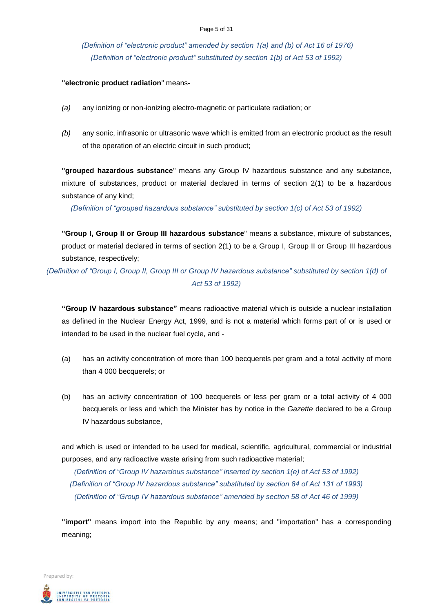*(Definition of "electronic product" amended by section 1(a) and (b) of Act 16 of 1976) (Definition of "electronic product" substituted by section 1(b) of Act 53 of 1992)*

### **"electronic product radiation**" means-

- *(a)* any ionizing or non-ionizing electro-magnetic or particulate radiation; or
- *(b)* any sonic, infrasonic or ultrasonic wave which is emitted from an electronic product as the result of the operation of an electric circuit in such product;

**"grouped hazardous substance**" means any Group IV hazardous substance and any substance, mixture of substances, product or material declared in terms of section 2(1) to be a hazardous substance of any kind;

*(Definition of "grouped hazardous substance" substituted by section 1(c) of Act 53 of 1992)*

**"Group I, Group II or Group III hazardous substance**" means a substance, mixture of substances, product or material declared in terms of section 2(1) to be a Group I, Group II or Group III hazardous substance, respectively;

*(Definition of "Group I, Group II, Group III or Group IV hazardous substance" substituted by section 1(d) of Act 53 of 1992)*

**"Group IV hazardous substance"** means radioactive material which is outside a nuclear installation as defined in the Nuclear Energy Act, 1999, and is not a material which forms part of or is used or intended to be used in the nuclear fuel cycle, and -

- (a) has an activity concentration of more than 100 becquerels per gram and a total activity of more than 4 000 becquerels; or
- (b) has an activity concentration of 100 becquerels or less per gram or a total activity of 4 000 becquerels or less and which the Minister has by notice in the *Gazette* declared to be a Group IV hazardous substance,

and which is used or intended to be used for medical, scientific, agricultural, commercial or industrial purposes, and any radioactive waste arising from such radioactive material;

*(Definition of "Group IV hazardous substance" inserted by section 1(e) of Act 53 of 1992) (Definition of "Group IV hazardous substance" substituted by section 84 of Act 131 of 1993) (Definition of "Group IV hazardous substance" amended by section 58 of Act 46 of 1999)*

**"import"** means import into the Republic by any means; and "importation" has a corresponding meaning;

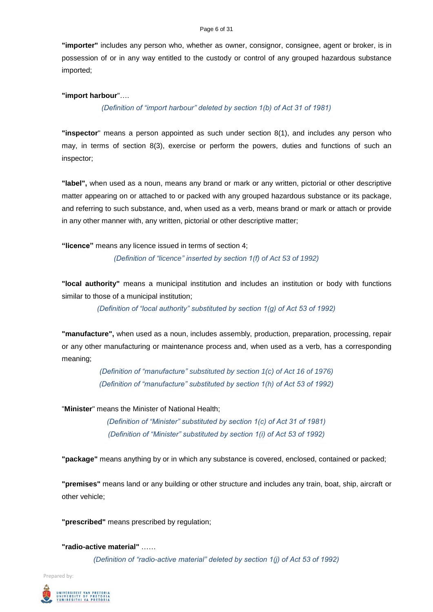#### Page 6 of 31

**"importer"** includes any person who, whether as owner, consignor, consignee, agent or broker, is in possession of or in any way entitled to the custody or control of any grouped hazardous substance imported;

### **"import harbour**"….

## *(Definition of "import harbour" deleted by section 1(b) of Act 31 of 1981)*

**"inspector**" means a person appointed as such under section 8(1), and includes any person who may, in terms of section 8(3), exercise or perform the powers, duties and functions of such an inspector;

**"label",** when used as a noun, means any brand or mark or any written, pictorial or other descriptive matter appearing on or attached to or packed with any grouped hazardous substance or its package, and referring to such substance, and, when used as a verb, means brand or mark or attach or provide in any other manner with, any written, pictorial or other descriptive matter;

**"licence"** means any licence issued in terms of section 4;

*(Definition of "licence" inserted by section 1(f) of Act 53 of 1992)*

**"local authority"** means a municipal institution and includes an institution or body with functions similar to those of a municipal institution;

*(Definition of "local authority" substituted by section 1(g) of Act 53 of 1992)*

**"manufacture",** when used as a noun, includes assembly, production, preparation, processing, repair or any other manufacturing or maintenance process and, when used as a verb, has a corresponding meaning;

> *(Definition of "manufacture" substituted by section 1(c) of Act 16 of 1976) (Definition of "manufacture" substituted by section 1(h) of Act 53 of 1992)*

"**Minister**" means the Minister of National Health;

*(Definition of "Minister" substituted by section 1(c) of Act 31 of 1981) (Definition of "Minister" substituted by section 1(i) of Act 53 of 1992)*

**"package"** means anything by or in which any substance is covered, enclosed, contained or packed;

**"premises"** means land or any building or other structure and includes any train, boat, ship, aircraft or other vehicle;

**"prescribed"** means prescribed by regulation;

**"radio-active material"** ……

*(Definition of "radio-active material" deleted by section 1(j) of Act 53 of 1992)*

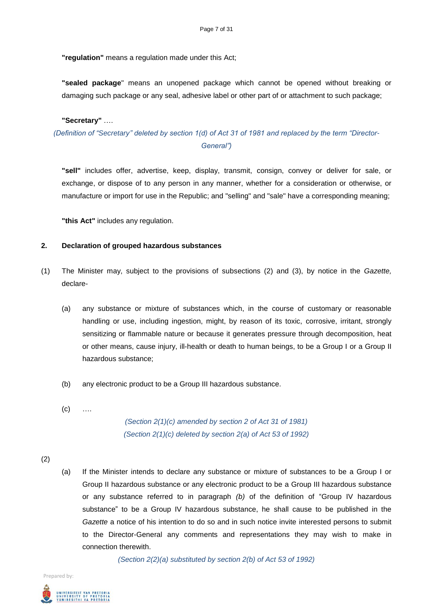**"regulation"** means a regulation made under this Act;

**"sealed package**" means an unopened package which cannot be opened without breaking or damaging such package or any seal, adhesive label or other part of or attachment to such package;

#### **"Secretary"** ….

*(Definition of "Secretary" deleted by section 1(d) of Act 31 of 1981 and replaced by the term "Director-General")*

**"sell"** includes offer, advertise, keep, display, transmit, consign, convey or deliver for sale, or exchange, or dispose of to any person in any manner, whether for a consideration or otherwise, or manufacture or import for use in the Republic; and "selling" and "sale" have a corresponding meaning;

**"this Act"** includes any regulation.

# **2. Declaration of grouped hazardous substances**

- (1) The Minister may, subject to the provisions of subsections (2) and (3), by notice in the *Gazette,*  declare-
	- (a) any substance or mixture of substances which, in the course of customary or reasonable handling or use, including ingestion, might, by reason of its toxic, corrosive, irritant, strongly sensitizing or flammable nature or because it generates pressure through decomposition, heat or other means, cause injury, ill-health or death to human beings, to be a Group I or a Group II hazardous substance;
	- (b) any electronic product to be a Group III hazardous substance.
	- $(c)$  ....

*(Section 2(1)(c) amended by section 2 of Act 31 of 1981) (Section 2(1)(c) deleted by section 2(a) of Act 53 of 1992)*

- (2)
- (a) If the Minister intends to declare any substance or mixture of substances to be a Group I or Group II hazardous substance or any electronic product to be a Group III hazardous substance or any substance referred to in paragraph *(b)* of the definition of "Group IV hazardous substance" to be a Group IV hazardous substance, he shall cause to be published in the *Gazette* a notice of his intention to do so and in such notice invite interested persons to submit to the Director-General any comments and representations they may wish to make in connection therewith.

*(Section 2(2)(a) substituted by section 2(b) of Act 53 of 1992)*

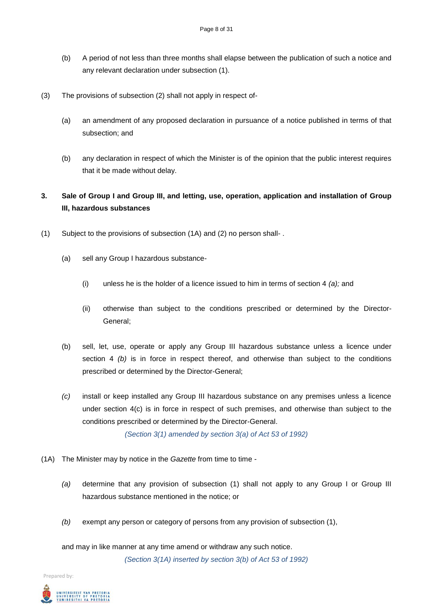- (b) A period of not less than three months shall elapse between the publication of such a notice and any relevant declaration under subsection (1).
- (3) The provisions of subsection (2) shall not apply in respect of-
	- (a) an amendment of any proposed declaration in pursuance of a notice published in terms of that subsection; and
	- (b) any declaration in respect of which the Minister is of the opinion that the public interest requires that it be made without delay.

# **3. Sale of Group I and Group III, and letting, use, operation, application and installation of Group III, hazardous substances**

- (1) Subject to the provisions of subsection (1A) and (2) no person shall- .
	- (a) sell any Group I hazardous substance-
		- (i) unless he is the holder of a licence issued to him in terms of section 4 *(a);* and
		- (ii) otherwise than subject to the conditions prescribed or determined by the Director-General;
	- (b) sell, let, use, operate or apply any Group III hazardous substance unless a licence under section 4 *(b)* is in force in respect thereof, and otherwise than subject to the conditions prescribed or determined by the Director-General;
	- *(c)* install or keep installed any Group III hazardous substance on any premises unless a licence under section 4(c) is in force in respect of such premises, and otherwise than subject to the conditions prescribed or determined by the Director-General.

*(Section 3(1) amended by section 3(a) of Act 53 of 1992)*

- (1A) The Minister may by notice in the *Gazette* from time to time *-*
	- *(a)* determine that any provision of subsection (1) shall not apply to any Group I or Group III hazardous substance mentioned in the notice; or
	- *(b)* exempt any person or category of persons from any provision of subsection (1),

and may in like manner at any time amend or withdraw any such notice. *(Section 3(1A) inserted by section 3(b) of Act 53 of 1992)*

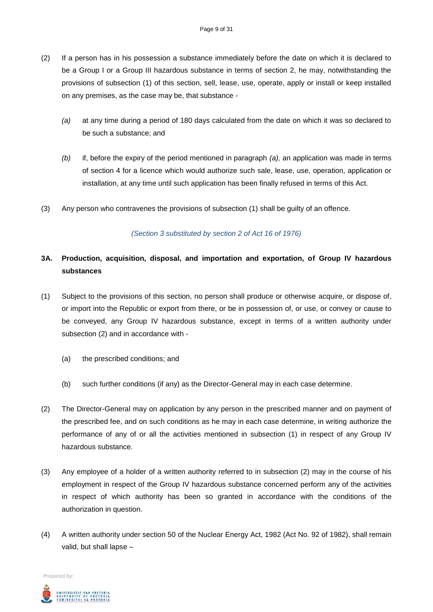- (2) If a person has in his possession a substance immediately before the date on which it is declared to be a Group I or a Group III hazardous substance in terms of section 2, he may, notwithstanding the provisions of subsection (1) of this section, sell, lease, use, operate, apply or install or keep installed on any premises, as the case may be, that substance -
	- *(a)* at any time during a period of 180 days calculated from the date on which it was so declared to be such a substance; and
	- *(b)* if, before the expiry of the period mentioned in paragraph *(a),* an application was made in terms of section 4 for a licence which would authorize such sale, lease, use, operation, application or installation, at any time until such application has been finally refused in terms of this Act.
- (3) Any person who contravenes the provisions of subsection (1) shall be guilty of an offence.

# *(Section 3 substituted by section 2 of Act 16 of 1976)*

# **3A. Production, acquisition, disposal, and importation and exportation, of Group IV hazardous substances**

- (1) Subject to the provisions of this section, no person shall produce or otherwise acquire, or dispose of, or import into the Republic or export from there, or be in possession of, or use, or convey or cause to be conveyed, any Group IV hazardous substance, except in terms of a written authority under subsection (2) and in accordance with *-*
	- (a) the prescribed conditions; and
	- (b) such further conditions (if any) as the Director-General may in each case determine.
- (2) The Director-General may on application by any person in the prescribed manner and on payment of the prescribed fee, and on such conditions as he may in each case determine, in writing authorize the performance of any of or all the activities mentioned in subsection (1) in respect of any Group IV hazardous substance.
- (3) Any employee of a holder of a written authority referred to in subsection (2) may in the course of his employment in respect of the Group IV hazardous substance concerned perform any of the activities in respect of which authority has been so granted in accordance with the conditions of the authorization in question.
- (4) A written authority under section 50 of the Nuclear Energy Act, 1982 (Act No. 92 of 1982), shall remain valid, but shall lapse –

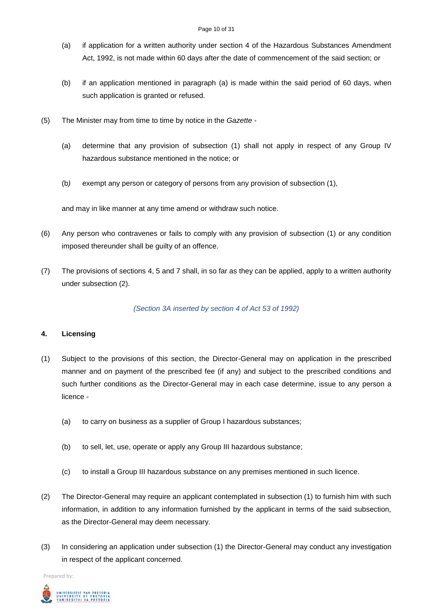- (a) if application for a written authority under section 4 of the Hazardous Substances Amendment Act, 1992, is not made within 60 days after the date of commencement of the said section; or
- (b) if an application mentioned in paragraph (a) is made within the said period of 60 days, when such application is granted or refused.
- (5) The Minister may from time to time by notice in the *Gazette -*
	- (a) determine that any provision of subsection (1) shall not apply in respect of any Group IV hazardous substance mentioned in the notice; or
	- (b*)* exempt any person or category of persons from any provision of subsection (1),

and may in like manner at any time amend or withdraw such notice.

- (6) Any person who contravenes or fails to comply with any provision of subsection (1) or any condition imposed thereunder shall be guilty of an offence.
- (7) The provisions of sections 4, 5 and 7 shall, in so far as they can be applied, apply to a written authority under subsection (2).

*(Section 3A inserted by section 4 of Act 53 of 1992)*

# **4. Licensing**

- (1) Subject to the provisions of this section, the Director-General may on application in the prescribed manner and on payment of the prescribed fee (if any) and subject to the prescribed conditions and such further conditions as the Director-General may in each case determine, issue to any person a licence -
	- (a) to carry on business as a supplier of Group I hazardous substances;
	- (b) to sell, let, use, operate or apply any Group III hazardous substance;
	- (c) to install a Group III hazardous substance on any premises mentioned in such licence.
- (2) The Director-General may require an applicant contemplated in subsection (1) to furnish him with such information, in addition to any information furnished by the applicant in terms of the said subsection, as the Director-General may deem necessary.
- (3) In considering an application under subsection (1) the Director-General may conduct any investigation in respect of the applicant concerned.

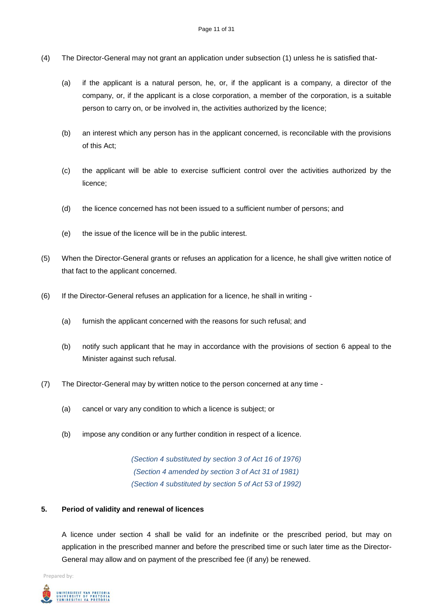- (4) The Director-General may not grant an application under subsection (1) unless he is satisfied that-
	- (a) if the applicant is a natural person, he, or, if the applicant is a company, a director of the company, or, if the applicant is a close corporation, a member of the corporation, is a suitable person to carry on, or be involved in, the activities authorized by the licence;
	- (b) an interest which any person has in the applicant concerned, is reconcilable with the provisions of this Act;
	- (c) the applicant will be able to exercise sufficient control over the activities authorized by the licence;
	- (d) the licence concerned has not been issued to a sufficient number of persons; and
	- (e) the issue of the licence will be in the public interest.
- (5) When the Director-General grants or refuses an application for a licence, he shall give written notice of that fact to the applicant concerned.
- (6) If the Director-General refuses an application for a licence, he shall in writing *-*
	- (a) furnish the applicant concerned with the reasons for such refusal; and
	- (b) notify such applicant that he may in accordance with the provisions of section 6 appeal to the Minister against such refusal.
- (7) The Director-General may by written notice to the person concerned at any time *-*
	- (a) cancel or vary any condition to which a licence is subject; or
	- (b) impose any condition or any further condition in respect of a licence.

*(Section 4 substituted by section 3 of Act 16 of 1976) (Section 4 amended by section 3 of Act 31 of 1981) (Section 4 substituted by section 5 of Act 53 of 1992)*

# **5. Period of validity and renewal of licences**

A licence under section 4 shall be valid for an indefinite or the prescribed period, but may on application in the prescribed manner and before the prescribed time or such later time as the Director-General may allow and on payment of the prescribed fee (if any) be renewed.

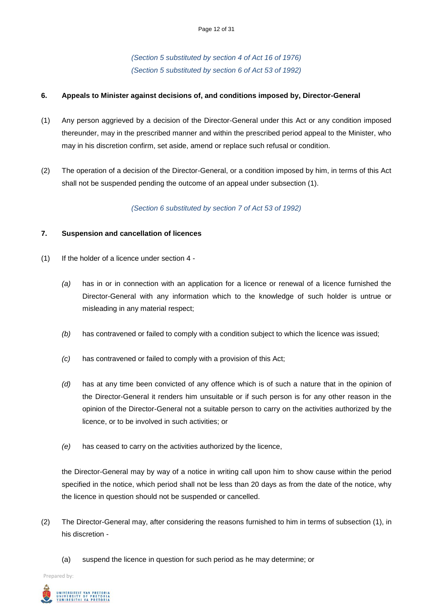*(Section 5 substituted by section 4 of Act 16 of 1976) (Section 5 substituted by section 6 of Act 53 of 1992)*

# **6. Appeals to Minister against decisions of, and conditions imposed by, Director-General**

- (1) Any person aggrieved by a decision of the Director-General under this Act or any condition imposed thereunder, may in the prescribed manner and within the prescribed period appeal to the Minister, who may in his discretion confirm, set aside, amend or replace such refusal or condition.
- (2) The operation of a decision of the Director-General, or a condition imposed by him, in terms of this Act shall not be suspended pending the outcome of an appeal under subsection (1).

### *(Section 6 substituted by section 7 of Act 53 of 1992)*

### **7. Suspension and cancellation of licences**

- (1) If the holder of a licence under section 4
	- *(a)* has in or in connection with an application for a licence or renewal of a licence furnished the Director-General with any information which to the knowledge of such holder is untrue or misleading in any material respect;
	- *(b)* has contravened or failed to comply with a condition subject to which the licence was issued;
	- *(c)* has contravened or failed to comply with a provision of this Act;
	- *(d)* has at any time been convicted of any offence which is of such a nature that in the opinion of the Director-General it renders him unsuitable or if such person is for any other reason in the opinion of the Director-General not a suitable person to carry on the activities authorized by the licence, or to be involved in such activities; or
	- *(e)* has ceased to carry on the activities authorized by the licence,

the Director-General may by way of a notice in writing call upon him to show cause within the period specified in the notice, which period shall not be less than 20 days as from the date of the notice, why the licence in question should not be suspended or cancelled.

- (2) The Director-General may, after considering the reasons furnished to him in terms of subsection (1), in his discretion *-*
	- (a) suspend the licence in question for such period as he may determine; or

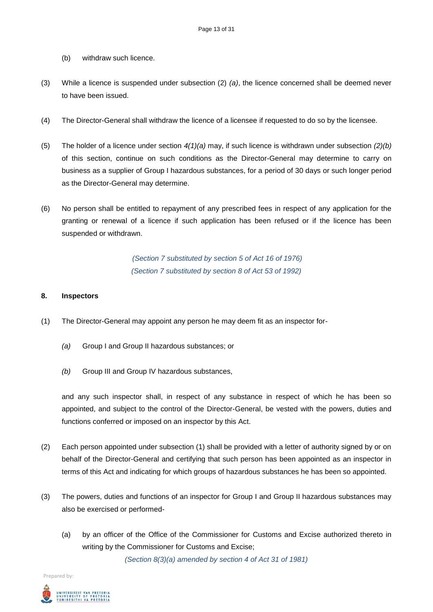- (b) withdraw such licence.
- (3) While a licence is suspended under subsection (2) *(a)*, the licence concerned shall be deemed never to have been issued.
- (4) The Director-General shall withdraw the licence of a licensee if requested to do so by the licensee.
- (5) The holder of a licence under section *4(1)(a)* may, if such licence is withdrawn under subsection *(2)(b)*  of this section, continue on such conditions as the Director-General may determine to carry on business as a supplier of Group I hazardous substances, for a period of 30 days or such longer period as the Director-General may determine.
- (6) No person shall be entitled to repayment of any prescribed fees in respect of any application for the granting or renewal of a licence if such application has been refused or if the licence has been suspended or withdrawn.

*(Section 7 substituted by section 5 of Act 16 of 1976) (Section 7 substituted by section 8 of Act 53 of 1992)*

# **8. Inspectors**

- (1) The Director-General may appoint any person he may deem fit as an inspector for-
	- *(a)* Group I and Group II hazardous substances; or
	- *(b)* Group III and Group IV hazardous substances,

and any such inspector shall, in respect of any substance in respect of which he has been so appointed, and subject to the control of the Director-General, be vested with the powers, duties and functions conferred or imposed on an inspector by this Act.

- (2) Each person appointed under subsection (1) shall be provided with a letter of authority signed by or on behalf of the Director-General and certifying that such person has been appointed as an inspector in terms of this Act and indicating for which groups of hazardous substances he has been so appointed.
- (3) The powers, duties and functions of an inspector for Group I and Group II hazardous substances may also be exercised or performed-
	- (a) by an officer of the Office of the Commissioner for Customs and Excise authorized thereto in writing by the Commissioner for Customs and Excise;

*(Section 8(3)(a) amended by section 4 of Act 31 of 1981)*

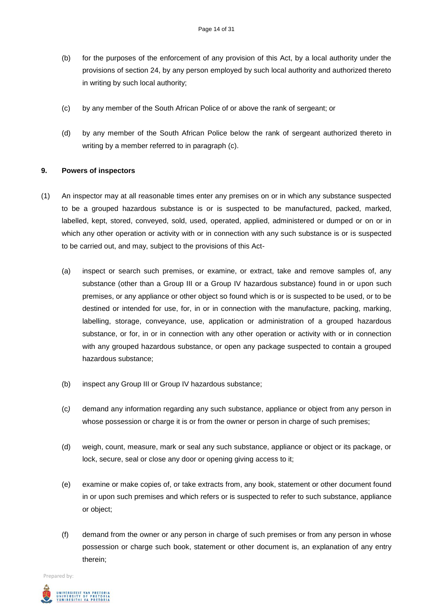- (b) for the purposes of the enforcement of any provision of this Act, by a local authority under the provisions of section 24, by any person employed by such local authority and authorized thereto in writing by such local authority;
- (c) by any member of the South African Police of or above the rank of sergeant; or
- (d) by any member of the South African Police below the rank of sergeant authorized thereto in writing by a member referred to in paragraph (c).

# **9. Powers of inspectors**

- (1) An inspector may at all reasonable times enter any premises on or in which any substance suspected to be a grouped hazardous substance is or is suspected to be manufactured, packed, marked, labelled, kept, stored, conveyed, sold, used, operated, applied, administered or dumped or on or in which any other operation or activity with or in connection with any such substance is or is suspected to be carried out, and may, subject to the provisions of this Act-
	- (a) inspect or search such premises, or examine, or extract, take and remove samples of, any substance (other than a Group III or a Group IV hazardous substance) found in or upon such premises, or any appliance or other object so found which is or is suspected to be used, or to be destined or intended for use, for, in or in connection with the manufacture, packing, marking, labelling, storage, conveyance, use, application or administration of a grouped hazardous substance, or for, in or in connection with any other operation or activity with or in connection with any grouped hazardous substance, or open any package suspected to contain a grouped hazardous substance;
	- (b) inspect any Group III or Group IV hazardous substance;
	- (c*)* demand any information regarding any such substance, appliance or object from any person in whose possession or charge it is or from the owner or person in charge of such premises;
	- (d) weigh, count, measure, mark or seal any such substance, appliance or object or its package, or lock, secure, seal or close any door or opening giving access to it;
	- (e) examine or make copies of, or take extracts from, any book, statement or other document found in or upon such premises and which refers or is suspected to refer to such substance, appliance or object;
	- (f) demand from the owner or any person in charge of such premises or from any person in whose possession or charge such book, statement or other document is, an explanation of any entry therein;

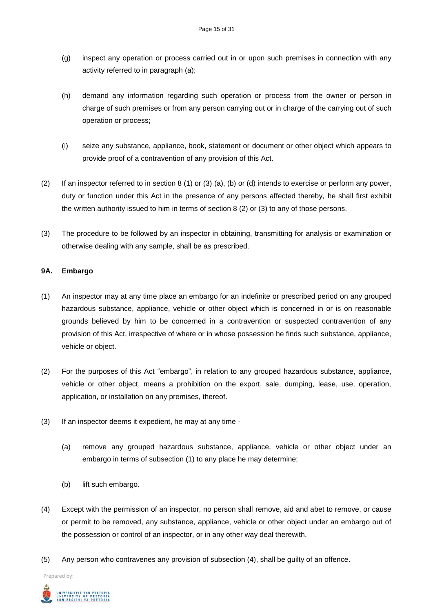- (g) inspect any operation or process carried out in or upon such premises in connection with any activity referred to in paragraph (a);
- (h) demand any information regarding such operation or process from the owner or person in charge of such premises or from any person carrying out or in charge of the carrying out of such operation or process;
- (i) seize any substance, appliance, book, statement or document or other object which appears to provide proof of a contravention of any provision of this Act.
- (2) If an inspector referred to in section 8 (1) or (3) (a), (b) or (d) intends to exercise or perform any power, duty or function under this Act in the presence of any persons affected thereby, he shall first exhibit the written authority issued to him in terms of section 8 (2) or (3) to any of those persons.
- (3) The procedure to be followed by an inspector in obtaining, transmitting for analysis or examination or otherwise dealing with any sample, shall be as prescribed.

# **9A. Embargo**

- (1) An inspector may at any time place an embargo for an indefinite or prescribed period on any grouped hazardous substance, appliance, vehicle or other object which is concerned in or is on reasonable grounds believed by him to be concerned in a contravention or suspected contravention of any provision of this Act, irrespective of where or in whose possession he finds such substance, appliance, vehicle or object.
- (2) For the purposes of this Act "embargo", in relation to any grouped hazardous substance, appliance, vehicle or other object, means a prohibition on the export, sale, dumping, lease, use, operation, application, or installation on any premises, thereof.
- (3) If an inspector deems it expedient, he may at any time
	- (a) remove any grouped hazardous substance, appliance, vehicle or other object under an embargo in terms of subsection (1) to any place he may determine;
	- (b) lift such embargo.
- (4) Except with the permission of an inspector, no person shall remove, aid and abet to remove, or cause or permit to be removed, any substance, appliance, vehicle or other object under an embargo out of the possession or control of an inspector, or in any other way deal therewith.
- (5) Any person who contravenes any provision of subsection (4), shall be guilty of an offence.

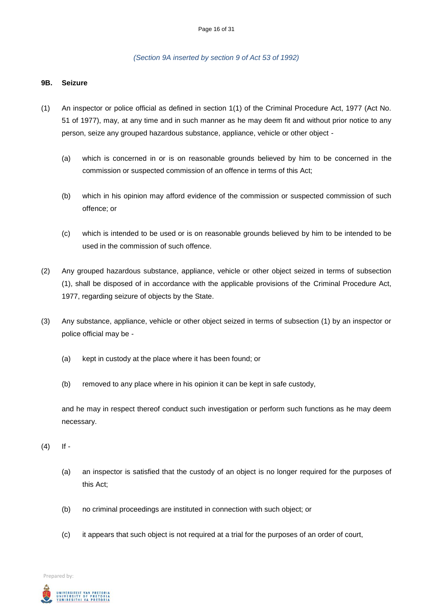### *(Section 9A inserted by section 9 of Act 53 of 1992)*

### **9B. Seizure**

- (1) An inspector or police official as defined in section 1(1) of the Criminal Procedure Act, 1977 (Act No. 51 of 1977), may, at any time and in such manner as he may deem fit and without prior notice to any person, seize any grouped hazardous substance, appliance, vehicle or other object *-*
	- (a) which is concerned in or is on reasonable grounds believed by him to be concerned in the commission or suspected commission of an offence in terms of this Act;
	- (b) which in his opinion may afford evidence of the commission or suspected commission of such offence; or
	- (c) which is intended to be used or is on reasonable grounds believed by him to be intended to be used in the commission of such offence.
- (2) Any grouped hazardous substance, appliance, vehicle or other object seized in terms of subsection (1), shall be disposed of in accordance with the applicable provisions of the Criminal Procedure Act, 1977, regarding seizure of objects by the State.
- (3) Any substance, appliance, vehicle or other object seized in terms of subsection (1) by an inspector or police official may be *-*
	- (a) kept in custody at the place where it has been found; or
	- (b) removed to any place where in his opinion it can be kept in safe custody,

and he may in respect thereof conduct such investigation or perform such functions as he may deem necessary.

- (4) If *-*
	- (a) an inspector is satisfied that the custody of an object is no longer required for the purposes of this Act;
	- (b) no criminal proceedings are instituted in connection with such object; or
	- (c) it appears that such object is not required at a trial for the purposes of an order of court,

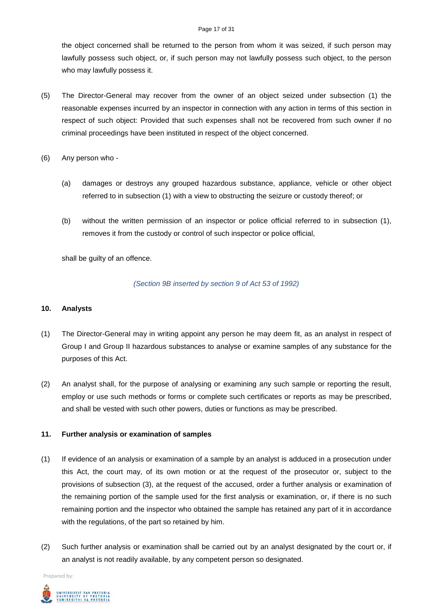#### Page 17 of 31

the object concerned shall be returned to the person from whom it was seized, if such person may lawfully possess such object, or, if such person may not lawfully possess such object, to the person who may lawfully possess it.

- (5) The Director-General may recover from the owner of an object seized under subsection (1) the reasonable expenses incurred by an inspector in connection with any action in terms of this section in respect of such object: Provided that such expenses shall not be recovered from such owner if no criminal proceedings have been instituted in respect of the object concerned.
- (6) Any person who *-*
	- (a) damages or destroys any grouped hazardous substance, appliance, vehicle or other object referred to in subsection (1) with a view to obstructing the seizure or custody thereof; or
	- (b) without the written permission of an inspector or police official referred to in subsection (1), removes it from the custody or control of such inspector or police official,

shall be guilty of an offence.

# *(Section 9B inserted by section 9 of Act 53 of 1992)*

# **10. Analysts**

- (1) The Director-General may in writing appoint any person he may deem fit, as an analyst in respect of Group I and Group II hazardous substances to analyse or examine samples of any substance for the purposes of this Act.
- (2) An analyst shall, for the purpose of analysing or examining any such sample or reporting the result, employ or use such methods or forms or complete such certificates or reports as may be prescribed, and shall be vested with such other powers, duties or functions as may be prescribed.

# **11. Further analysis or examination of samples**

- (1) If evidence of an analysis or examination of a sample by an analyst is adduced in a prosecution under this Act, the court may, of its own motion or at the request of the prosecutor or, subject to the provisions of subsection (3), at the request of the accused, order a further analysis or examination of the remaining portion of the sample used for the first analysis or examination, or, if there is no such remaining portion and the inspector who obtained the sample has retained any part of it in accordance with the regulations, of the part so retained by him.
- (2) Such further analysis or examination shall be carried out by an analyst designated by the court or, if an analyst is not readily available, by any competent person so designated.

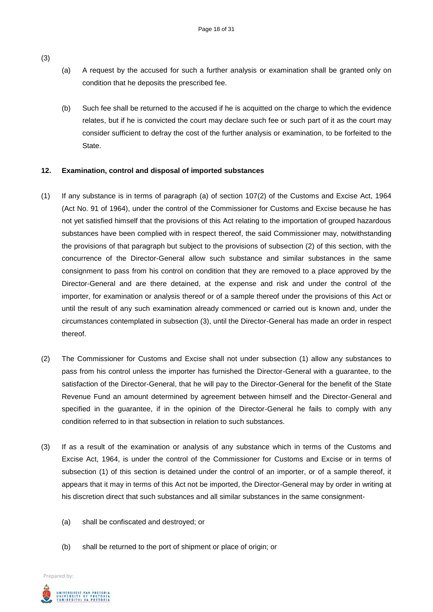- (a) A request by the accused for such a further analysis or examination shall be granted only on condition that he deposits the prescribed fee.
- (b) Such fee shall be returned to the accused if he is acquitted on the charge to which the evidence relates, but if he is convicted the court may declare such fee or such part of it as the court may consider sufficient to defray the cost of the further analysis or examination, to be forfeited to the State.

# **12. Examination, control and disposal of imported substances**

- (1) If any substance is in terms of paragraph (a) of section 107(2) of the Customs and Excise Act, 1964 (Act No. 91 of 1964), under the control of the Commissioner for Customs and Excise because he has not yet satisfied himself that the provisions of this Act relating to the importation of grouped hazardous substances have been complied with in respect thereof, the said Commissioner may, notwithstanding the provisions of that paragraph but subject to the provisions of subsection (2) of this section, with the concurrence of the Director-General allow such substance and similar substances in the same consignment to pass from his control on condition that they are removed to a place approved by the Director-General and are there detained, at the expense and risk and under the control of the importer, for examination or analysis thereof or of a sample thereof under the provisions of this Act or until the result of any such examination already commenced or carried out is known and, under the circumstances contemplated in subsection (3), until the Director-General has made an order in respect thereof.
- (2) The Commissioner for Customs and Excise shall not under subsection (1) allow any substances to pass from his control unless the importer has furnished the Director-General with a guarantee, to the satisfaction of the Director-General, that he will pay to the Director-General for the benefit of the State Revenue Fund an amount determined by agreement between himself and the Director-General and specified in the guarantee, if in the opinion of the Director-General he fails to comply with any condition referred to in that subsection in relation to such substances.
- (3) If as a result of the examination or analysis of any substance which in terms of the Customs and Excise Act, 1964, is under the control of the Commissioner for Customs and Excise or in terms of subsection (1) of this section is detained under the control of an importer, or of a sample thereof, it appears that it may in terms of this Act not be imported, the Director-General may by order in writing at his discretion direct that such substances and all similar substances in the same consignment-
	- (a) shall be confiscated and destroyed; or
	- (b) shall be returned to the port of shipment or place of origin; or

Prepared by:



(3)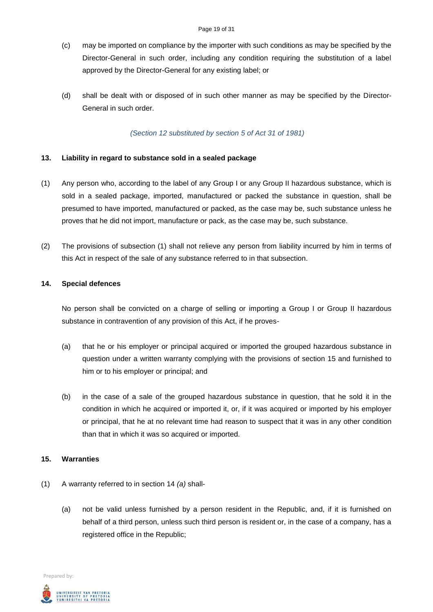- (c) may be imported on compliance by the importer with such conditions as may be specified by the Director-General in such order, including any condition requiring the substitution of a label approved by the Director-General for any existing label; or
- (d) shall be dealt with or disposed of in such other manner as may be specified by the Director-General in such order.

*(Section 12 substituted by section 5 of Act 31 of 1981)*

# **13. Liability in regard to substance sold in a sealed package**

- (1) Any person who, according to the label of any Group I or any Group II hazardous substance, which is sold in a sealed package, imported, manufactured or packed the substance in question, shall be presumed to have imported, manufactured or packed, as the case may be, such substance unless he proves that he did not import, manufacture or pack, as the case may be, such substance.
- (2) The provisions of subsection (1) shall not relieve any person from liability incurred by him in terms of this Act in respect of the sale of any substance referred to in that subsection.

# **14. Special defences**

No person shall be convicted on a charge of selling or importing a Group I or Group II hazardous substance in contravention of any provision of this Act, if he proves-

- (a) that he or his employer or principal acquired or imported the grouped hazardous substance in question under a written warranty complying with the provisions of section 15 and furnished to him or to his employer or principal; and
- (b) in the case of a sale of the grouped hazardous substance in question, that he sold it in the condition in which he acquired or imported it, or, if it was acquired or imported by his employer or principal, that he at no relevant time had reason to suspect that it was in any other condition than that in which it was so acquired or imported.

# **15. Warranties**

- (1) A warranty referred to in section 14 *(a)* shall-
	- (a) not be valid unless furnished by a person resident in the Republic, and, if it is furnished on behalf of a third person, unless such third person is resident or, in the case of a company, has a registered office in the Republic;

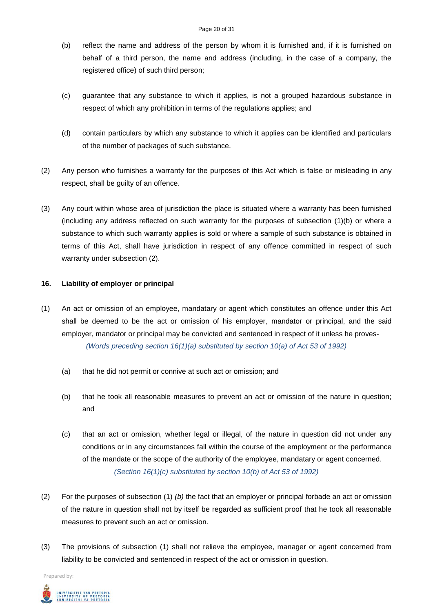- (b) reflect the name and address of the person by whom it is furnished and, if it is furnished on behalf of a third person, the name and address (including, in the case of a company, the registered office) of such third person;
- (c) guarantee that any substance to which it applies, is not a grouped hazardous substance in respect of which any prohibition in terms of the regulations applies; and
- (d) contain particulars by which any substance to which it applies can be identified and particulars of the number of packages of such substance.
- (2) Any person who furnishes a warranty for the purposes of this Act which is false or misleading in any respect, shall be guilty of an offence.
- (3) Any court within whose area of jurisdiction the place is situated where a warranty has been furnished (including any address reflected on such warranty for the purposes of subsection (1)(b) or where a substance to which such warranty applies is sold or where a sample of such substance is obtained in terms of this Act, shall have jurisdiction in respect of any offence committed in respect of such warranty under subsection (2).

# **16. Liability of employer or principal**

- (1) An act or omission of an employee, mandatary or agent which constitutes an offence under this Act shall be deemed to be the act or omission of his employer, mandator or principal, and the said employer, mandator or principal may be convicted and sentenced in respect of it unless he proves- *(Words preceding section 16(1)(a) substituted by section 10(a) of Act 53 of 1992)*
	- (a) that he did not permit or connive at such act or omission; and
	- (b) that he took all reasonable measures to prevent an act or omission of the nature in question; and
	- (c) that an act or omission, whether legal or illegal, of the nature in question did not under any conditions or in any circumstances fall within the course of the employment or the performance of the mandate or the scope of the authority of the employee, mandatary or agent concerned. *(Section 16(1)(c) substituted by section 10(b) of Act 53 of 1992)*
- (2) For the purposes of subsection (1) *(b)* the fact that an employer or principal forbade an act or omission of the nature in question shall not by itself be regarded as sufficient proof that he took all reasonable measures to prevent such an act or omission.
- (3) The provisions of subsection (1) shall not relieve the employee, manager or agent concerned from liability to be convicted and sentenced in respect of the act or omission in question.

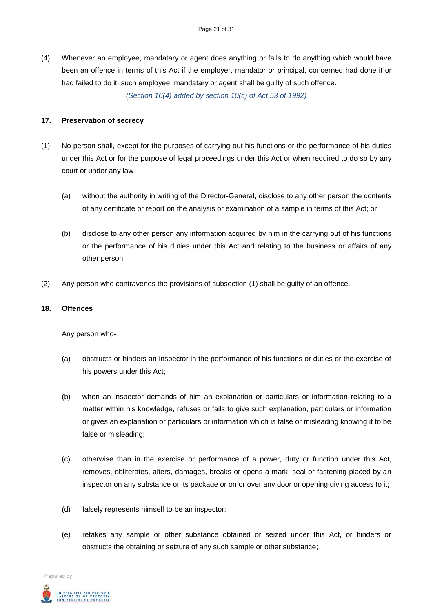(4) Whenever an employee, mandatary or agent does anything or fails to do anything which would have been an offence in terms of this Act if the employer, mandator or principal, concerned had done it or had failed to do it, such employee, mandatary or agent shall be guilty of such offence.

*(Section 16(4) added by section 10(c) of Act 53 of 1992)*

## **17. Preservation of secrecy**

- (1) No person shall, except for the purposes of carrying out his functions or the performance of his duties under this Act or for the purpose of legal proceedings under this Act or when required to do so by any court or under any law-
	- (a) without the authority in writing of the Director-General, disclose to any other person the contents of any certificate or report on the analysis or examination of a sample in terms of this Act; or
	- (b) disclose to any other person any information acquired by him in the carrying out of his functions or the performance of his duties under this Act and relating to the business or affairs of any other person.
- (2) Any person who contravenes the provisions of subsection (1) shall be guilty of an offence.

## **18. Offences**

Any person who-

- (a) obstructs or hinders an inspector in the performance of his functions or duties or the exercise of his powers under this Act;
- (b) when an inspector demands of him an explanation or particulars or information relating to a matter within his knowledge, refuses or fails to give such explanation, particulars or information or gives an explanation or particulars or information which is false or misleading knowing it to be false or misleading;
- (c) otherwise than in the exercise or performance of a power, duty or function under this Act, removes, obliterates, alters, damages, breaks or opens a mark, seal or fastening placed by an inspector on any substance or its package or on or over any door or opening giving access to it;
- (d) falsely represents himself to be an inspector;
- (e) retakes any sample or other substance obtained or seized under this Act, or hinders or obstructs the obtaining or seizure of any such sample or other substance;

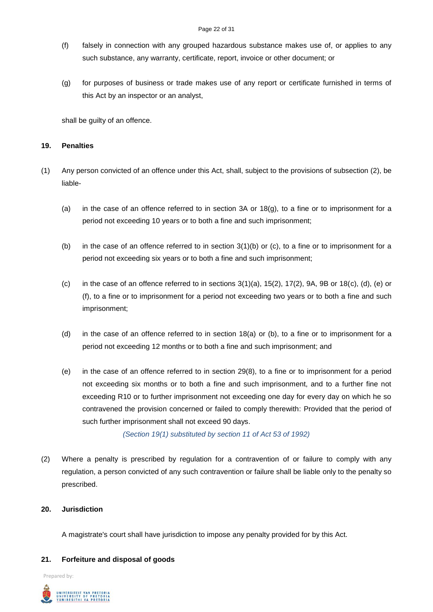- (f) falsely in connection with any grouped hazardous substance makes use of, or applies to any such substance, any warranty, certificate, report, invoice or other document; or
- (g) for purposes of business or trade makes use of any report or certificate furnished in terms of this Act by an inspector or an analyst,

shall be guilty of an offence.

# **19. Penalties**

- (1) Any person convicted of an offence under this Act, shall, subject to the provisions of subsection (2), be liable-
	- (a) in the case of an offence referred to in section 3A or  $18<sub>(g)</sub>$ , to a fine or to imprisonment for a period not exceeding 10 years or to both a fine and such imprisonment;
	- (b) in the case of an offence referred to in section 3(1)(b) or (c), to a fine or to imprisonment for a period not exceeding six years or to both a fine and such imprisonment;
	- (c) in the case of an offence referred to in sections  $3(1)(a)$ ,  $15(2)$ ,  $17(2)$ ,  $9A$ ,  $9B$  or  $18(c)$ ,  $(d)$ ,  $(e)$  or (f), to a fine or to imprisonment for a period not exceeding two years or to both a fine and such imprisonment;
	- (d) in the case of an offence referred to in section 18(a) or (b), to a fine or to imprisonment for a period not exceeding 12 months or to both a fine and such imprisonment; and
	- (e) in the case of an offence referred to in section 29(8), to a fine or to imprisonment for a period not exceeding six months or to both a fine and such imprisonment, and to a further fine not exceeding R10 or to further imprisonment not exceeding one day for every day on which he so contravened the provision concerned or failed to comply therewith: Provided that the period of such further imprisonment shall not exceed 90 days.

*(Section 19(1) substituted by section 11 of Act 53 of 1992)*

(2) Where a penalty is prescribed by regulation for a contravention of or failure to comply with any regulation, a person convicted of any such contravention or failure shall be liable only to the penalty so prescribed.

# **20. Jurisdiction**

A magistrate's court shall have jurisdiction to impose any penalty provided for by this Act.

# **21. Forfeiture and disposal of goods**

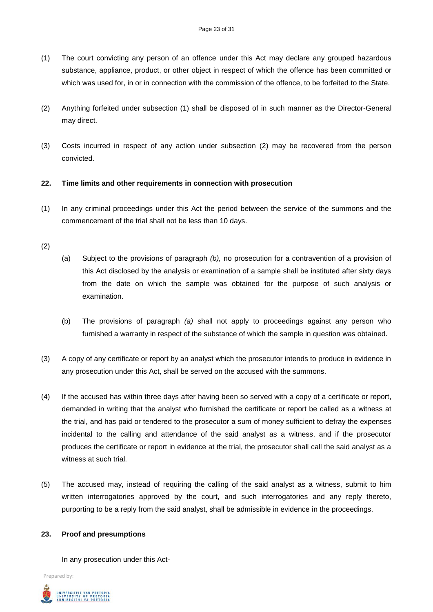- (1) The court convicting any person of an offence under this Act may declare any grouped hazardous substance, appliance, product, or other object in respect of which the offence has been committed or which was used for, in or in connection with the commission of the offence, to be forfeited to the State.
- (2) Anything forfeited under subsection (1) shall be disposed of in such manner as the Director-General may direct.
- (3) Costs incurred in respect of any action under subsection (2) may be recovered from the person convicted.

# **22. Time limits and other requirements in connection with prosecution**

(1) In any criminal proceedings under this Act the period between the service of the summons and the commencement of the trial shall not be less than 10 days.

# (2)

- (a) Subject to the provisions of paragraph *(b),* no prosecution for a contravention of a provision of this Act disclosed by the analysis or examination of a sample shall be instituted after sixty days from the date on which the sample was obtained for the purpose of such analysis or examination.
- (b) The provisions of paragraph *(a)* shall not apply to proceedings against any person who furnished a warranty in respect of the substance of which the sample in question was obtained.
- (3) A copy of any certificate or report by an analyst which the prosecutor intends to produce in evidence in any prosecution under this Act, shall be served on the accused with the summons.
- (4) If the accused has within three days after having been so served with a copy of a certificate or report, demanded in writing that the analyst who furnished the certificate or report be called as a witness at the trial, and has paid or tendered to the prosecutor a sum of money sufficient to defray the expenses incidental to the calling and attendance of the said analyst as a witness, and if the prosecutor produces the certificate or report in evidence at the trial, the prosecutor shall call the said analyst as a witness at such trial.
- (5) The accused may, instead of requiring the calling of the said analyst as a witness, submit to him written interrogatories approved by the court, and such interrogatories and any reply thereto, purporting to be a reply from the said analyst, shall be admissible in evidence in the proceedings.

# **23. Proof and presumptions**

In any prosecution under this Act-

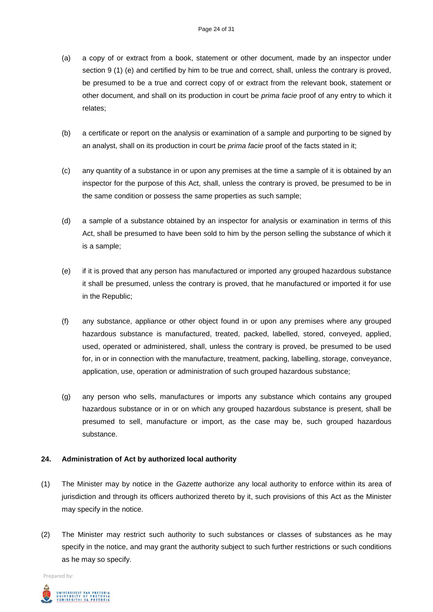- (a) a copy of or extract from a book, statement or other document, made by an inspector under section 9 (1) (e) and certified by him to be true and correct, shall, unless the contrary is proved, be presumed to be a true and correct copy of or extract from the relevant book, statement or other document, and shall on its production in court be *prima facie* proof of any entry to which it relates;
- (b) a certificate or report on the analysis or examination of a sample and purporting to be signed by an analyst, shall on its production in court be *prima facie* proof of the facts stated in it;
- (c) any quantity of a substance in or upon any premises at the time a sample of it is obtained by an inspector for the purpose of this Act, shall, unless the contrary is proved, be presumed to be in the same condition or possess the same properties as such sample;
- (d) a sample of a substance obtained by an inspector for analysis or examination in terms of this Act, shall be presumed to have been sold to him by the person selling the substance of which it is a sample;
- (e) if it is proved that any person has manufactured or imported any grouped hazardous substance it shall be presumed, unless the contrary is proved, that he manufactured or imported it for use in the Republic;
- (f) any substance, appliance or other object found in or upon any premises where any grouped hazardous substance is manufactured, treated, packed, labelled, stored, conveyed, applied, used, operated or administered, shall, unless the contrary is proved, be presumed to be used for, in or in connection with the manufacture, treatment, packing, labelling, storage, conveyance, application, use, operation or administration of such grouped hazardous substance;
- (g) any person who sells, manufactures or imports any substance which contains any grouped hazardous substance or in or on which any grouped hazardous substance is present, shall be presumed to sell, manufacture or import, as the case may be, such grouped hazardous substance.

# **24. Administration of Act by authorized local authority**

- (1) The Minister may by notice in the *Gazette* authorize any local authority to enforce within its area of jurisdiction and through its officers authorized thereto by it, such provisions of this Act as the Minister may specify in the notice.
- (2) The Minister may restrict such authority to such substances or classes of substances as he may specify in the notice, and may grant the authority subject to such further restrictions or such conditions as he may so specify.

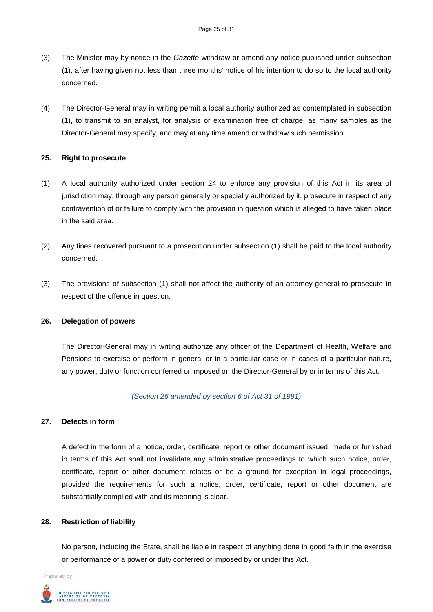- (3) The Minister may by notice in the *Gazette* withdraw or amend any notice published under subsection (1), after having given not less than three months' notice of his intention to do so to the local authority concerned.
- (4) The Director-General may in writing permit a local authority authorized as contemplated in subsection (1), to transmit to an analyst, for analysis or examination free of charge, as many samples as the Director-General may specify, and may at any time amend or withdraw such permission.

# **25. Right to prosecute**

- (1) A local authority authorized under section 24 to enforce any provision of this Act in its area of jurisdiction may, through any person generally or specially authorized by it, prosecute in respect of any contravention of or failure to comply with the provision in question which is alleged to have taken place in the said area.
- (2) Any fines recovered pursuant to a prosecution under subsection (1) shall be paid to the local authority concerned.
- (3) The provisions of subsection (1) shall not affect the authority of an attorney-general to prosecute in respect of the offence in question.

# **26. Delegation of powers**

The Director-General may in writing authorize any officer of the Department of Health, Welfare and Pensions to exercise or perform in general or in a particular case or in cases of a particular nature, any power, duty or function conferred or imposed on the Director-General by or in terms of this Act.

# *(Section 26 amended by section 6 of Act 31 of 1981)*

# **27. Defects in form**

A defect in the form of a notice, order, certificate, report or other document issued, made or furnished in terms of this Act shall not invalidate any administrative proceedings to which such notice, order, certificate, report or other document relates or be a ground for exception in legal proceedings, provided the requirements for such a notice, order, certificate, report or other document are substantially complied with and its meaning is clear.

# **28. Restriction of liability**

No person, including the State, shall be liable in respect of anything done in good faith in the exercise or performance of a power or duty conferred or imposed by or under this Act.

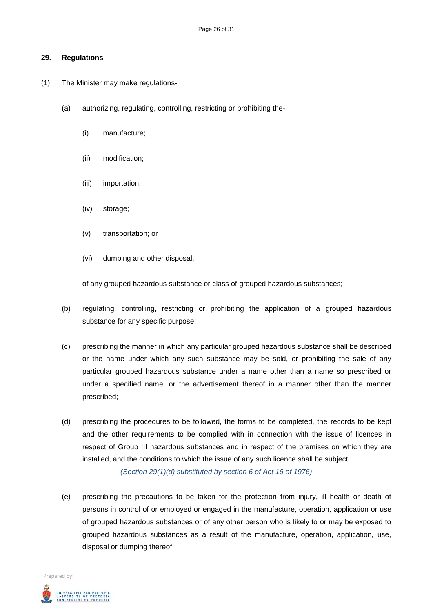### **29. Regulations**

- (1) The Minister may make regulations-
	- (a) authorizing, regulating, controlling, restricting or prohibiting the-
		- (i) manufacture;
		- (ii) modification;
		- (iii) importation;
		- (iv) storage;
		- (v) transportation; or
		- (vi) dumping and other disposal,

of any grouped hazardous substance or class of grouped hazardous substances;

- (b) regulating, controlling, restricting or prohibiting the application of a grouped hazardous substance for any specific purpose;
- (c) prescribing the manner in which any particular grouped hazardous substance shall be described or the name under which any such substance may be sold, or prohibiting the sale of any particular grouped hazardous substance under a name other than a name so prescribed or under a specified name, or the advertisement thereof in a manner other than the manner prescribed;
- (d) prescribing the procedures to be followed, the forms to be completed, the records to be kept and the other requirements to be complied with in connection with the issue of licences in respect of Group III hazardous substances and in respect of the premises on which they are installed, and the conditions to which the issue of any such licence shall be subject;

*(Section 29(1)(d) substituted by section 6 of Act 16 of 1976)*

(e) prescribing the precautions to be taken for the protection from injury, ill health or death of persons in control of or employed or engaged in the manufacture, operation, application or use of grouped hazardous substances or of any other person who is likely to or may be exposed to grouped hazardous substances as a result of the manufacture, operation, application, use, disposal or dumping thereof;

UNIVERSITEIT VAN PRETORIA<br>UNIVERSITY OF PRETORIA<br>YUNIBESITHI YA PRETORIA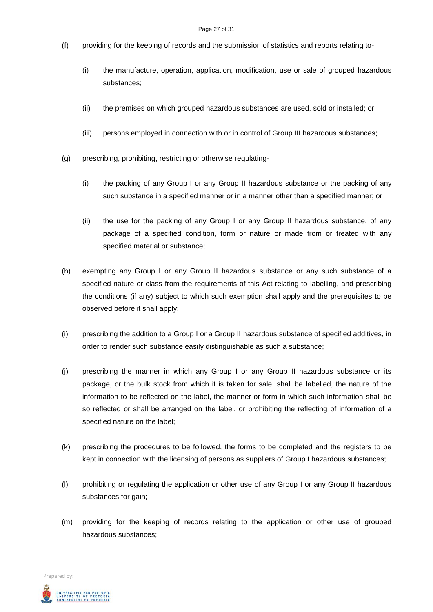- (f) providing for the keeping of records and the submission of statistics and reports relating to-
	- (i) the manufacture, operation, application, modification, use or sale of grouped hazardous substances;
	- (ii) the premises on which grouped hazardous substances are used, sold or installed; or
	- (iii) persons employed in connection with or in control of Group III hazardous substances;
- (g) prescribing, prohibiting, restricting or otherwise regulating-
	- (i) the packing of any Group I or any Group II hazardous substance or the packing of any such substance in a specified manner or in a manner other than a specified manner; or
	- (ii) the use for the packing of any Group I or any Group II hazardous substance, of any package of a specified condition, form or nature or made from or treated with any specified material or substance;
- (h) exempting any Group I or any Group II hazardous substance or any such substance of a specified nature or class from the requirements of this Act relating to labelling, and prescribing the conditions (if any) subject to which such exemption shall apply and the prerequisites to be observed before it shall apply;
- (i) prescribing the addition to a Group I or a Group II hazardous substance of specified additives, in order to render such substance easily distinguishable as such a substance;
- (j) prescribing the manner in which any Group I or any Group II hazardous substance or its package, or the bulk stock from which it is taken for sale, shall be labelled, the nature of the information to be reflected on the label, the manner or form in which such information shall be so reflected or shall be arranged on the label, or prohibiting the reflecting of information of a specified nature on the label;
- (k) prescribing the procedures to be followed, the forms to be completed and the registers to be kept in connection with the licensing of persons as suppliers of Group I hazardous substances;
- (l) prohibiting or regulating the application or other use of any Group I or any Group II hazardous substances for gain;
- (m) providing for the keeping of records relating to the application or other use of grouped hazardous substances;

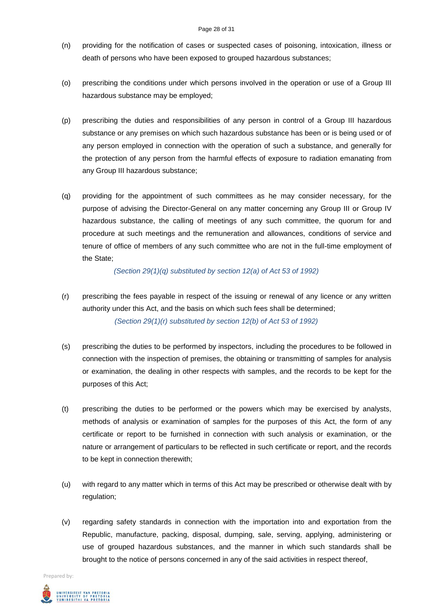#### Page 28 of 31

- (n) providing for the notification of cases or suspected cases of poisoning, intoxication, illness or death of persons who have been exposed to grouped hazardous substances;
- (o) prescribing the conditions under which persons involved in the operation or use of a Group III hazardous substance may be employed;
- (p) prescribing the duties and responsibilities of any person in control of a Group III hazardous substance or any premises on which such hazardous substance has been or is being used or of any person employed in connection with the operation of such a substance, and generally for the protection of any person from the harmful effects of exposure to radiation emanating from any Group III hazardous substance;
- (q) providing for the appointment of such committees as he may consider necessary, for the purpose of advising the Director-General on any matter concerning any Group III or Group IV hazardous substance, the calling of meetings of any such committee, the quorum for and procedure at such meetings and the remuneration and allowances, conditions of service and tenure of office of members of any such committee who are not in the full-time employment of the State;

*(Section 29(1)(q) substituted by section 12(a) of Act 53 of 1992)*

- (r) prescribing the fees payable in respect of the issuing or renewal of any licence or any written authority under this Act, and the basis on which such fees shall be determined; *(Section 29(1)(r) substituted by section 12(b) of Act 53 of 1992)*
- (s) prescribing the duties to be performed by inspectors, including the procedures to be followed in connection with the inspection of premises, the obtaining or transmitting of samples for analysis or examination, the dealing in other respects with samples, and the records to be kept for the purposes of this Act;
- (t) prescribing the duties to be performed or the powers which may be exercised by analysts, methods of analysis or examination of samples for the purposes of this Act, the form of any certificate or report to be furnished in connection with such analysis or examination, or the nature or arrangement of particulars to be reflected in such certificate or report, and the records to be kept in connection therewith;
- (u) with regard to any matter which in terms of this Act may be prescribed or otherwise dealt with by regulation;
- (v) regarding safety standards in connection with the importation into and exportation from the Republic, manufacture, packing, disposal, dumping, sale, serving, applying, administering or use of grouped hazardous substances, and the manner in which such standards shall be brought to the notice of persons concerned in any of the said activities in respect thereof,

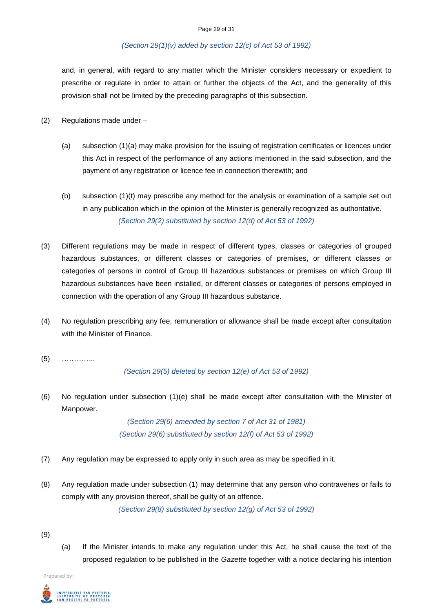# *(Section 29(1)(v) added by section 12(c) of Act 53 of 1992)*

and, in general, with regard to any matter which the Minister considers necessary or expedient to prescribe or regulate in order to attain or further the objects of the Act, and the generality of this provision shall not be limited by the preceding paragraphs of this subsection.

- (2) Regulations made under
	- (a) subsection (1)(a) may make provision for the issuing of registration certificates or licences under this Act in respect of the performance of any actions mentioned in the said subsection, and the payment of any registration or licence fee in connection therewith; and
	- (b) subsection (1)(t) may prescribe any method for the analysis or examination of a sample set out in any publication which in the opinion of the Minister is generally recognized as authoritative. *(Section 29(2) substituted by section 12(d) of Act 53 of 1992)*
- (3) Different regulations may be made in respect of different types, classes or categories of grouped hazardous substances, or different classes or categories of premises, or different classes or categories of persons in control of Group III hazardous substances or premises on which Group III hazardous substances have been installed, or different classes or categories of persons employed in connection with the operation of any Group III hazardous substance.
- (4) No regulation prescribing any fee, remuneration or allowance shall be made except after consultation with the Minister of Finance.
- (5) ……*……..*

#### *(Section 29(5) deleted by section 12(e) of Act 53 of 1992)*

(6) No regulation under subsection (1)(e) shall be made except after consultation with the Minister of Manpower.

> *(Section 29(6) amended by section 7 of Act 31 of 1981) (Section 29(6) substituted by section 12(f) of Act 53 of 1992)*

- (7) Any regulation may be expressed to apply only in such area as may be specified in it.
- (8) Any regulation made under subsection (1) may determine that any person who contravenes or fails to comply with any provision thereof, shall be guilty of an offence.

*(Section 29(8) substituted by section 12(g) of Act 53 of 1992)*

- (9)
- (a) If the Minister intends to make any regulation under this Act, he shall cause the text of the proposed regulation to be published in the *Gazette* together with a notice declaring his intention

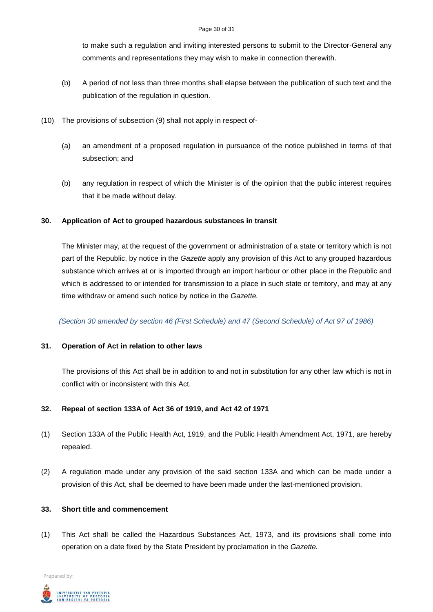#### Page 30 of 31

to make such a regulation and inviting interested persons to submit to the Director-General any comments and representations they may wish to make in connection therewith.

- (b) A period of not less than three months shall elapse between the publication of such text and the publication of the regulation in question.
- (10) The provisions of subsection (9) shall not apply in respect of-
	- (a) an amendment of a proposed regulation in pursuance of the notice published in terms of that subsection; and
	- (b) any regulation in respect of which the Minister is of the opinion that the public interest requires that it be made without delay.

# **30. Application of Act to grouped hazardous substances in transit**

The Minister may, at the request of the government or administration of a state or territory which is not part of the Republic, by notice in the *Gazette* apply any provision of this Act to any grouped hazardous substance which arrives at or is imported through an import harbour or other place in the Republic and which is addressed to or intended for transmission to a place in such state or territory, and may at any time withdraw or amend such notice by notice in the *Gazette.*

*(Section 30 amended by section 46 (First Schedule) and 47 (Second Schedule) of Act 97 of 1986)*

# **31. Operation of Act in relation to other laws**

The provisions of this Act shall be in addition to and not in substitution for any other law which is not in conflict with or inconsistent with this Act.

# **32. Repeal of section 133A of Act 36 of 1919, and Act 42 of 1971**

- (1) Section 133A of the Public Health Act, 1919, and the Public Health Amendment Act, 1971, are hereby repealed.
- (2) A regulation made under any provision of the said section 133A and which can be made under a provision of this Act, shall be deemed to have been made under the last-mentioned provision.

# **33. Short title and commencement**

(1) This Act shall be called the Hazardous Substances Act, 1973, and its provisions shall come into operation on a date fixed by the State President by proclamation in the *Gazette.*